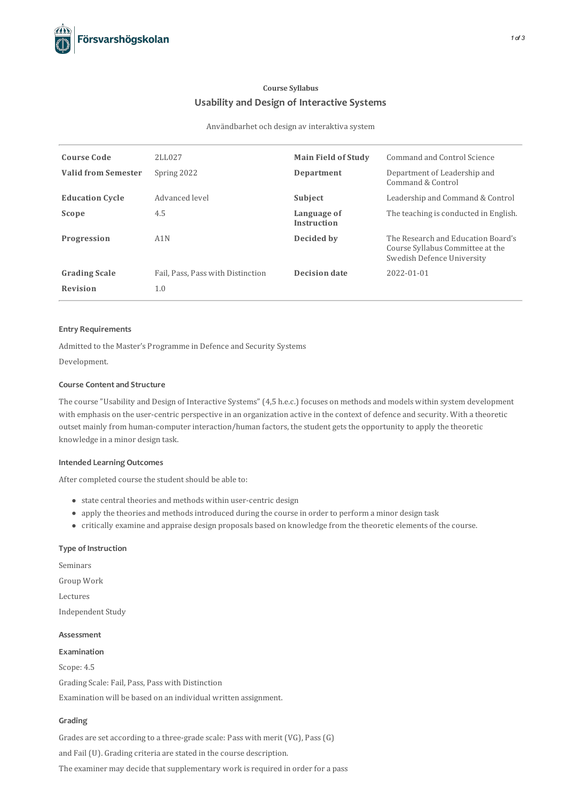# **Course Syllabus Usabilityand Design of Interactive Systems**

Användbarhet och design av interaktiva system

| <b>Course Code</b>         | 2LL027                            | <b>Main Field of Study</b>        | Command and Control Science                                                                          |
|----------------------------|-----------------------------------|-----------------------------------|------------------------------------------------------------------------------------------------------|
| <b>Valid from Semester</b> | Spring 2022                       | Department                        | Department of Leadership and<br>Command & Control                                                    |
| <b>Education Cycle</b>     | Advanced level                    | Subject                           | Leadership and Command & Control                                                                     |
| Scope                      | 4.5                               | Language of<br><b>Instruction</b> | The teaching is conducted in English.                                                                |
| Progression                | A1N                               | Decided by                        | The Research and Education Board's<br>Course Syllabus Committee at the<br>Swedish Defence University |
| <b>Grading Scale</b>       | Fail, Pass, Pass with Distinction | <b>Decision date</b>              | 2022-01-01                                                                                           |
| <b>Revision</b>            | 1.0                               |                                   |                                                                                                      |

#### **Entry Requirements**

Admitted to the Master's Programme in Defence and Security Systems

Development.

## **Course Contentand Structure**

The course "Usability and Design of Interactive Systems" (4,5 h.e.c.) focuses on methods and models within system development with emphasis on the user-centric perspective in an organization active in the context of defence and security. With a theoretic outset mainly from human-computer interaction/human factors, the student gets the opportunity to apply the theoretic knowledge in a minor design task.

### **Intended Learning Outcomes**

After completed course the student should be able to:

- state central theories and methods within user-centric design
- apply the theories and methodsintroduced during the course in order to perform a minor design task
- critically examine and appraise design proposals based on knowledge from the theoretic elements of the course.

### **Type of Instruction**

Seminars Group Work Lectures Independent Study

# **Assessment Examination**

Scope: 4.5 Grading Scale: Fail, Pass, Pass with Distinction

Examination will be based on an individual written assignment.

# **Grading**

Grades are set according to a three-grade scale: Pass with merit (VG), Pass(G) and Fail (U). Grading criteria are stated in the course description. The examiner may decide that supplementary work is required in order for a pass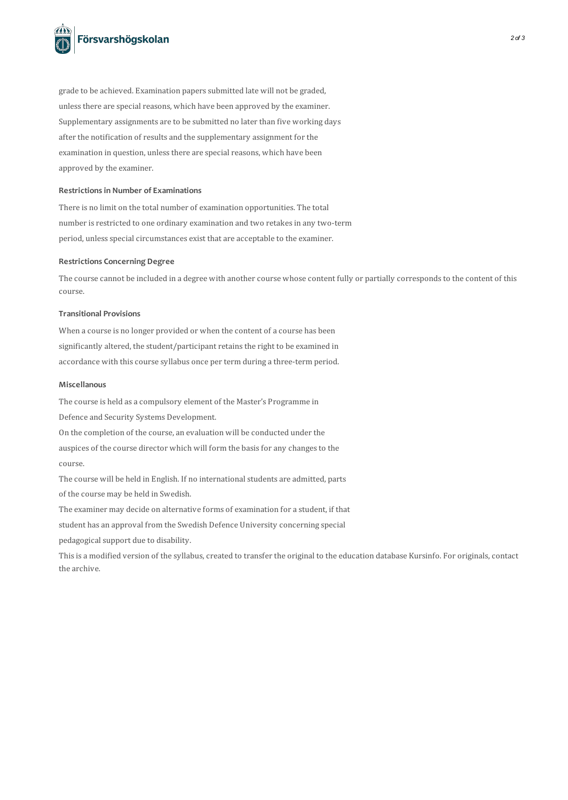

grade to be achieved. Examination paperssubmitted late will not be graded, unless there are special reasons, which have been approved by the examiner. Supplementary assignments are to be submitted no later than five working days after the notification of results and the supplementary assignment for the examination in question, unless there are special reasons, which have been approved by the examiner.

#### **Restrictionsin Number of Examinations**

There is no limit on the total number of examination opportunities. The total number is restricted to one ordinary examination and two retakes in any two-term period, unless special circumstances exist that are acceptable to the examiner.

#### **Restrictions Concerning Degree**

The course cannot be included in a degree with another course whose content fully or partially corresponds to the content of this course.

#### **Transitional Provisions**

When a course is no longer provided or when the content of a course has been significantly altered, the student/participant retains the right to be examined in accordance with this course syllabus once per term during a three-term period.

#### **Miscellanous**

The course is held as a compulsory element of the Master's Programme in

Defence and Security Systems Development.

On the completion of the course, an evaluation will be conducted under the

auspices of the course director which will form the basis for any changes to the course.

The course will be held in English. If no international students are admitted, parts of the course may be held in Swedish.

The examiner may decide on alternative forms of examination for a student, if that

student has an approval from the Swedish Defence University concerning special

pedagogical support due to disability.

This is a modified version of the syllabus, created to transfer the original to the education database Kursinfo. For originals, contact the archive.